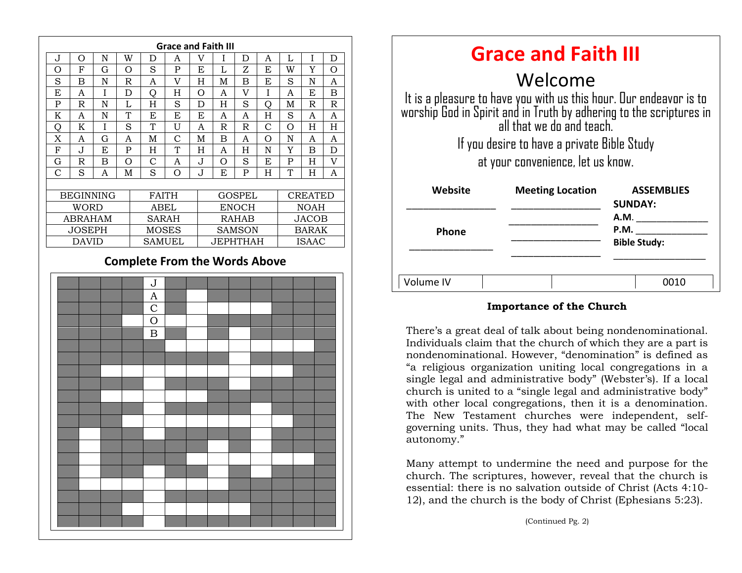

| <b>Grace and Faith III</b>                                                                                                                                             |                         |                                     |
|------------------------------------------------------------------------------------------------------------------------------------------------------------------------|-------------------------|-------------------------------------|
| Welcome                                                                                                                                                                |                         |                                     |
| It is a pleasure to have you with us this hour. Our endeavor is to<br>worship God in Spirit and in Truth by adhering to the scriptures in<br>all that we do and teach. |                         |                                     |
| If you desire to have a private Bible Study<br>at your convenience, let us know.                                                                                       |                         |                                     |
| Website                                                                                                                                                                | <b>Meeting Location</b> | <b>ASSEMBLIES</b><br><b>SUNDAY:</b> |
|                                                                                                                                                                        |                         | <b>A.M.</b>                         |
| <b>Phone</b>                                                                                                                                                           |                         | P.M.                                |
|                                                                                                                                                                        |                         | <b>Bible Study:</b>                 |
| Volume IV                                                                                                                                                              |                         | 0010                                |

#### **Importance of the Church**

"a religious organization uniting local congregations in a There's a great deal of talk about being nondenominational. Individuals claim that the church of which they are a part is nondenominational. However, "denomination" is defined as single legal and administrative body" (Webster's). If a local church is united to a "single legal and administrative body" with other local congregations, then it is a denomination. The New Testament churches were independent, selfgoverning units. Thus, they had what may be called "local autonomy."

Many attempt to undermine the need and purpose for the church. The scriptures, however, reveal that the church is essential: there is no salvation outside of Christ (Acts 4:10- 12), and the church is the body of Christ (Ephesians 5:23).